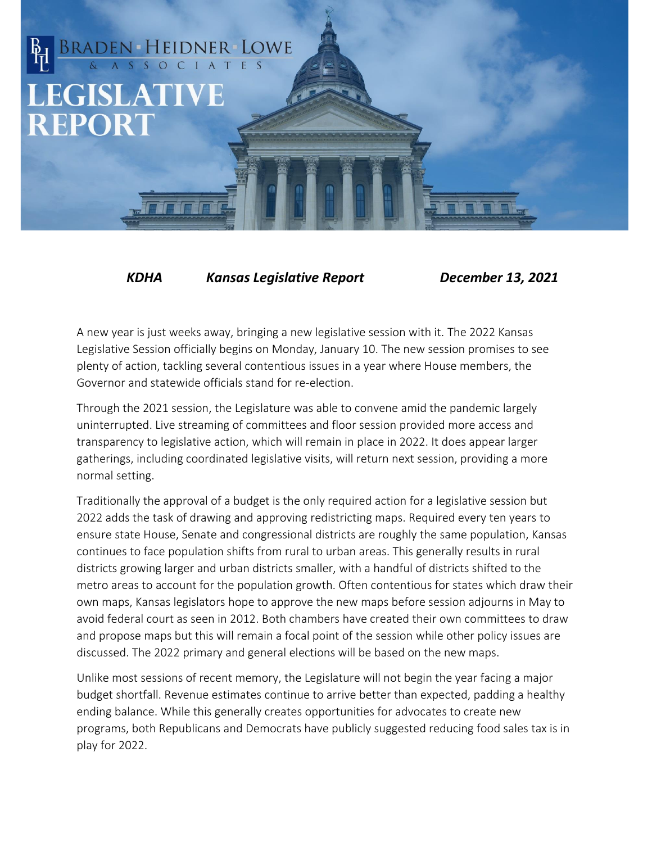## BRADEN HEIDNER LOWE **LEGISLATIVE REPORT**

 *KDHA Kansas Legislative Report December 13, 2021*

A new year is just weeks away, bringing a new legislative session with it. The 2022 Kansas Legislative Session officially begins on Monday, January 10. The new session promises to see plenty of action, tackling several contentious issues in a year where House members, the Governor and statewide officials stand for re-election.

Through the 2021 session, the Legislature was able to convene amid the pandemic largely uninterrupted. Live streaming of committees and floor session provided more access and transparency to legislative action, which will remain in place in 2022. It does appear larger gatherings, including coordinated legislative visits, will return next session, providing a more normal setting.

Traditionally the approval of a budget is the only required action for a legislative session but 2022 adds the task of drawing and approving redistricting maps. Required every ten years to ensure state House, Senate and congressional districts are roughly the same population, Kansas continues to face population shifts from rural to urban areas. This generally results in rural districts growing larger and urban districts smaller, with a handful of districts shifted to the metro areas to account for the population growth. Often contentious for states which draw their own maps, Kansas legislators hope to approve the new maps before session adjourns in May to avoid federal court as seen in 2012. Both chambers have created their own committees to draw and propose maps but this will remain a focal point of the session while other policy issues are discussed. The 2022 primary and general elections will be based on the new maps.

Unlike most sessions of recent memory, the Legislature will not begin the year facing a major budget shortfall. Revenue estimates continue to arrive better than expected, padding a healthy ending balance. While this generally creates opportunities for advocates to create new programs, both Republicans and Democrats have publicly suggested reducing food sales tax is in play for 2022.